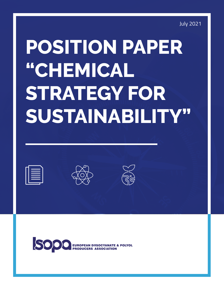July 2021

# **POSITION PAPER "CHEMICAL STRATEGY FOR SUSTAINABILITY"**

| the contract of the contract of the contract of the contract of the contract of |
|---------------------------------------------------------------------------------|
| the contract of the contract of the contract of the contract of the contract of |
|                                                                                 |
| ________                                                                        |
|                                                                                 |
| the contract of the contract of the contract of the contract of the contract of |
|                                                                                 |
|                                                                                 |





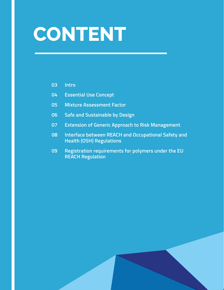## **CONTENT**

#### **Intro**

- **Essential Use Concept**
- **Mixture Assessment Factor**
- **Safe and Sustainable by Design**
- **Extension of Generic Approach to Risk Management**
- **Interface between REACH and Occupational Safety and Health (OSH) Regulations**
- **Registration requirements for polymers under the EU REACH Regulation**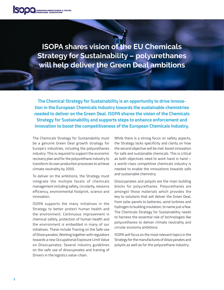**ISOPA shares vision of the EU Chemicals Strategy for Sustainability – polyurethanes will help deliver the Green Deal ambitions**

**The Chemical Strategy for Sustainability is an opportunity to drive innovation in the European Chemicals Industry towards the sustainable chemistries needed to deliver on the Green Deal. ISOPA shares the vision of the Chemicals Strategy for Sustainability and supports steps to enhance enforcement and innovation to boost the competitiveness of the European Chemicals Industry.** 

The Chemicals Strategy for Sustainability must be a genuine Green Deal growth strategy for Europe's industries, including the polyurethanes industry. This is required to support the economic recovery plan and for the polyurethane industry to transform its own production processes to achieve climate neutrality by 2050.

To deliver on the ambitions, the Strategy must integrate the multiple facets of chemicals management including safety, circularity, resource efficiency, environmental footprint, science and innovation.

ISOPA supports the many initiatives in the Strategy to better protect human health and the environment. Continuous improvement in chemical safety, protection of human health and the environment is embedded in many of our initiatives. These include Training on the Safe use of Diisocyanates; Working together with regulators towards a new Occupational Exposure Limit Value on Diisocyanates; Several industry guidelines on the safe use of diisocyanates and training of Drivers in the logistics value-chain.

While there is a strong focus on safety aspects, the Strategy lacks specificity and clarity on how the second objective will be met: boost innovation for safe and sustainable chemicals. This is critical as both objectives need to work hand in hand – a world-class competitive chemicals industry is needed to enable the innovations towards safe and sustainable chemistry.

Diisocyanates and polyols are the main building blocks for polyurethanes. Polyurethanes are amongst those materials which provides the key to solutions that will deliver the Green Deal, from solar panels to batteries, wind turbines and hydrogen to building insulation, to name just a few. The Chemicals Strategy for Sustainabiltiy needs to harness the essential role of technologies like polyurethanes to deliver climate neutrality and circular economy ambitions.

ISOPA will focus on the most relevant topics in the Strategy for the manufactures of diisocyanates and polyols as well as for the polyurethane industry.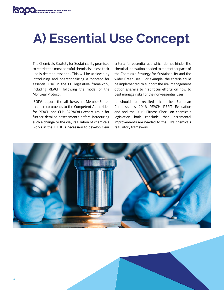### **A) Essential Use Concept**

The Chemicals Stratety for Sustainablity promises to restrict the most harmful chemicals unless their use is deemed essential. This will be achieved by introducing and operationalizing a 'concept for essential use' in the EU legislative framework, including REACH, following the model of the Montreal Protocol.

ISOPA supports the calls by several Member States made in comments to the Competent Authorities for REACH and CLP (CARACAL) expert group for further detailed assessments before introducing such a change to the way regulation of chemicals works in the EU. It is necessary to develop clear

criteria for essential use which do not hinder the chemical innovation needed to meet other parts of the Chemicals Strategy for Sustainability and the wider Green Deal. For example, the criteria could be implemented to support the risk management option analysis to first focus efforts on how to best manage risks for the non-essential uses.

It should be recalled that the European Commission's 2018 REACH REFIT Evaluation and and the 2019 Fitness Check on chemicals legislation both conclude that incremental improvements are needed to the EU's chemicals regulatory framework.

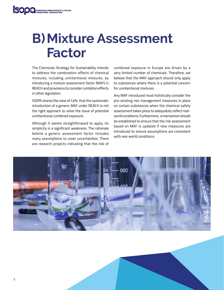#### **B)Mixture Assessment Factor**

The Chemicals Strategy for Sustainablity intends to address the combination effects of chemical mixtures, including unintentional mixtures, by introducing a mixture assessment factor (MAF) in REACH and provisions to consider combition effects in other legislation.

ISOPA shares the view of Cefic that the systematic introduction of a generic MAF under REACH is not the right approach to solve the issue of potential unintentional combined exposure.

Although it seems straightforward to apply, its simplicity is a significant weakness. The rationale behind a generic assessment factor includes many assumptions to cover uncertainties. There are research projects indicating that the risk of

combined exposure in Europe are driven by a very limited number of chemicals. Therefore, we believe that the MAF approach should only apply to substances where there is a potential concern for unintentional mixtures.

Any MAF introduced must holistically consider the pre-existing risk management measures in place on certain substances when the chemical safety assessment takes place to adequately reflect realworld conditions. Furthermore, a mechanism should be established to ensure that the risk assessment based on MAF is updated if new measures are introduced to ensure assumptions are consistent with real-world conditions.

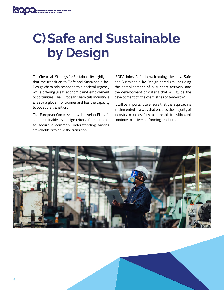### **C)Safe and Sustainable by Design**

The Chemicals Strategy for Sustainability highlights that the transition to 'Safe and Sustainable-by-Design'chemicals responds to a societal urgency while offering great economic and employment opportunities. The European Chemicals Industry is already a global frontrunner and has the capacity to boost the transition.

The European Commission will develop EU safe and sustainable-by-design criteria for chemicals to secure a common understanding among stakeholders to drive the transition.

ISOPA joins Cefic in welcoming the new Safe and Sustainable-by-Design paradigm, including the establishment of a support network and the development of criteria that will guide the development of 'the chemistries of tomorrow'.

It will be important to ensure that the approach is implemented in a way that enables the majority of industry to successfully manage this transition and continue to deliver performing products.

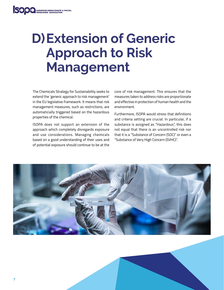### **D)Extension of Generic Approach to Risk Management**

The Chemicals Strategy for Sustainability seeks to extend the 'generic approach to risk management' in the EU legislative framework. It means that risk management measures, such as restrictions, are automaticially triggered based on the hazardous properties of the chemical.

ISOPA does not support an extension of the approach which completely disregards exposure and use considerations. Managing chemicals based on a good understanding of their uses and of potential exposure should continue to be at the core of risk management. This ensures that the measures taken to address risks are proportionate and effective in protection of human health and the environment.

Furthermore, ISOPA would stress that definitions and criteria setting are crucial. In particular, if a substance is assigned as "Hazardous", this does not equal that there is an uncontrolled risk nor that it is a "Substance of Concern (SOC)" or even a "Substance of Very High Concern (SVHC)".

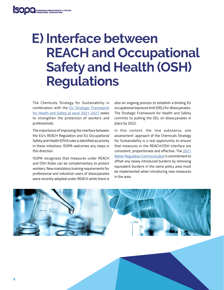#### **E) Interface between REACH and Occupational Safety and Health (OSH) Regulations**

The Chemicals Strategy for Sustainability in combination with the [EU Strategic Framework](https://ec.europa.eu/social/main.jsp?catId=151) [for Health and Safety at work 2021-2027](https://ec.europa.eu/social/main.jsp?catId=151) seeks to strengthen the protection of workers and professionals.

The importance of improving the interface between the EU's REACH Regulation and EU Occupational Safety and Health (OSH) rules is identified as priority in these initiatives. ISOPA welcomes any steps in this direction.

ISOPA recognizes that measures under REACH and OSH Rules can be complemantary to protect workers. New mandatory training requirements for professional and industrial users of diisocyanates were recently adopted under REACH while there is also an ongoing process to establish a binding EU occupational exposure limit (OEL) for diisocyanates. The Strategic Framework for Health and Safety commits to putting the OEL on diisocyanates in place by 2022.

In this context, the 'one substance, one assessment' approach of the Chemicals Strategy for Sustainability is a real opportunity to ensure that measures in the REACH/OSH interface are consistent, proportionate and effective. The [2021](https://ec.europa.eu/info/sites/default/files/better_regulation_joining_forces_to_make_better_laws_en_0.pdf)  [Better Regulation Communication'](https://ec.europa.eu/info/sites/default/files/better_regulation_joining_forces_to_make_better_laws_en_0.pdf)s commitment to offset any newly introduced burdens by removing equivalent burdens in the same policy area must be implemented when introducing new measures in the area.

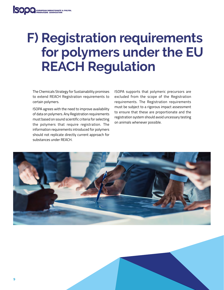#### **F) Registration requirements for polymers under the EU REACH Regulation**

The Chemicals Strategy for Sustainability promises to extend REACH Registration requirements to certain polymers.

ISOPA agrees with the need to improve availability of data on polymers. Any Registration requirements must based on sound scientific criteria for selecting the polymers that require registration. The information requirements introduced for polymers should not replicate directly current approach for substances under REACH.

ISOPA supports that polymeric precursors are excluded from the scope of the Registration requirements. The Registration requirements must be subject to a rigorous impact assessment to ensure that these are proportionate and the registration system should avoid uncessary testing on animals whenever possible.